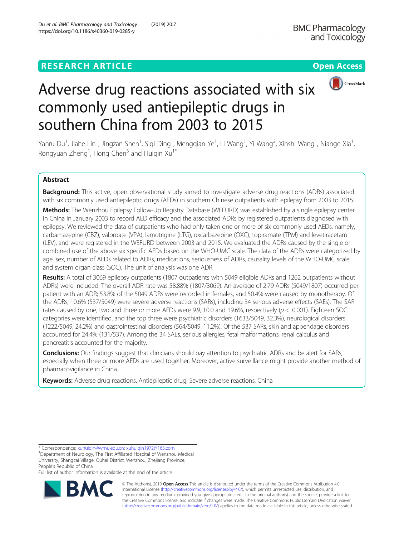## **RESEARCH ARTICLE Example 2014 12:30 The Contract of Contract ACCESS**





# Adverse drug reactions associated with six commonly used antiepileptic drugs in southern China from 2003 to 2015

Yanru Du<sup>1</sup>, Jiahe Lin<sup>1</sup>, Jingzan Shen<sup>1</sup>, Siqi Ding<sup>1</sup>, Mengqian Ye<sup>1</sup>, Li Wang<sup>1</sup>, Yi Wang<sup>2</sup>, Xinshi Wang<sup>1</sup>, Niange Xia<sup>1</sup> , Rongyuan Zheng<sup>1</sup>, Hong Chen<sup>3</sup> and Huiqin Xu<sup>1\*</sup>

## Abstract

Background: This active, open observational study aimed to investigate adverse drug reactions (ADRs) associated with six commonly used antiepileptic drugs (AEDs) in southern Chinese outpatients with epilepsy from 2003 to 2015.

Methods: The Wenzhou Epilepsy Follow-Up Registry Database (WEFURD) was established by a single epilepsy center in China in January 2003 to record AED efficacy and the associated ADRs by registered outpatients diagnosed with epilepsy. We reviewed the data of outpatients who had only taken one or more of six commonly used AEDs, namely, carbamazepine (CBZ), valproate (VPA), lamotrigine (LTG), oxcarbazepine (OXC), topiramate (TPM) and levetiracetam (LEV), and were registered in the WEFURD between 2003 and 2015. We evaluated the ADRs caused by the single or combined use of the above six specific AEDs based on the WHO-UMC scale. The data of the ADRs were categorized by age, sex, number of AEDs related to ADRs, medications, seriousness of ADRs, causality levels of the WHO-UMC scale and system organ class (SOC). The unit of analysis was one ADR.

Results: A total of 3069 epilepsy outpatients (1807 outpatients with 5049 eligible ADRs and 1262 outpatients without ADRs) were included. The overall ADR rate was 58.88% (1807/3069). An average of 2.79 ADRs (5049/1807) occurred per patient with an ADR; 53.8% of the 5049 ADRs were recorded in females, and 50.4% were caused by monotherapy. Of the ADRs, 10.6% (537/5049) were severe adverse reactions (SARs), including 34 serious adverse effects (SAEs). The SAR rates caused by one, two and three or more AEDs were 9.9, 10.0 and 19.6%, respectively ( $p < 0.001$ ). Eighteen SOC categories were identified, and the top three were psychiatric disorders (1633/5049, 32.3%), neurological disorders (1222/5049, 24.2%) and gastrointestinal disorders (564/5049, 11.2%). Of the 537 SARs, skin and appendage disorders accounted for 24.4% (131/537). Among the 34 SAEs, serious allergies, fetal malformations, renal calculus and pancreatitis accounted for the majority.

Conclusions: Our findings suggest that clinicians should pay attention to psychiatric ADRs and be alert for SARs, especially when three or more AEDs are used together. Moreover, active surveillance might provide another method of pharmacovigilance in China.

Keywords: Adverse drug reactions, Antiepileptic drug, Severe adverse reactions, China

Full list of author information is available at the end of the article



© The Author(s). 2019 **Open Access** This article is distributed under the terms of the Creative Commons Attribution 4.0 International License [\(http://creativecommons.org/licenses/by/4.0/](http://creativecommons.org/licenses/by/4.0/)), which permits unrestricted use, distribution, and reproduction in any medium, provided you give appropriate credit to the original author(s) and the source, provide a link to the Creative Commons license, and indicate if changes were made. The Creative Commons Public Domain Dedication waiver [\(http://creativecommons.org/publicdomain/zero/1.0/](http://creativecommons.org/publicdomain/zero/1.0/)) applies to the data made available in this article, unless otherwise stated.

<sup>\*</sup> Correspondence: [xuhuiqin@wmu.edu.cn;](mailto:xuhuiqin@wmu.edu.cn) [xuhuiqin1972@163.com](mailto:xuhuiqin1972@163.com) <sup>1</sup>

<sup>&</sup>lt;sup>1</sup>Department of Neurology, The First Affiliated Hospital of Wenzhou Medical University, Shangcai Village, Ouhai District, Wenzhou, Zhejiang Province, People's Republic of China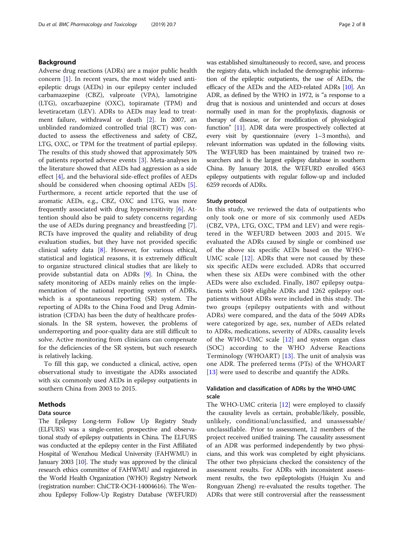## Background

Adverse drug reactions (ADRs) are a major public health concern [\[1](#page-6-0)]. In recent years, the most widely used antiepileptic drugs (AEDs) in our epilepsy center included carbamazepine (CBZ), valproate (VPA), lamotrigine (LTG), oxcarbazepine (OXC), topiramate (TPM) and levetiracetam (LEV). ADRs to AEDs may lead to treatment failure, withdrawal or death [\[2](#page-6-0)]. In 2007, an unblinded randomized controlled trial (RCT) was conducted to assess the effectiveness and safety of CBZ, LTG, OXC, or TPM for the treatment of partial epilepsy. The results of this study showed that approximately 50% of patients reported adverse events [[3\]](#page-6-0). Meta-analyses in the literature showed that AEDs had aggression as a side effect [\[4](#page-6-0)], and the behavioral side-effect profiles of AEDs should be considered when choosing optimal AEDs [\[5](#page-6-0)]. Furthermore, a recent article reported that the use of aromatic AEDs, e.g., CBZ, OXC and LTG, was more frequently associated with drug hypersensitivity [[6\]](#page-6-0). Attention should also be paid to safety concerns regarding the use of AEDs during pregnancy and breastfeeding [\[7](#page-6-0)]. RCTs have improved the quality and reliability of drug evaluation studies, but they have not provided specific clinical safety data [\[8](#page-6-0)]. However, for various ethical, statistical and logistical reasons, it is extremely difficult to organize structured clinical studies that are likely to provide substantial data on ADRs [[9\]](#page-6-0). In China, the safety monitoring of AEDs mainly relies on the implementation of the national reporting system of ADRs, which is a spontaneous reporting (SR) system. The reporting of ADRs to the China Food and Drug Administration (CFDA) has been the duty of healthcare professionals. In the SR system, however, the problems of underreporting and poor-quality data are still difficult to solve. Active monitoring from clinicians can compensate for the deficiencies of the SR system, but such research is relatively lacking.

To fill this gap, we conducted a clinical, active, open observational study to investigate the ADRs associated with six commonly used AEDs in epilepsy outpatients in southern China from 2003 to 2015.

## Methods

## Data source

The Epilepsy Long-term Follow Up Registry Study (ELFURS) was a single-center, prospective and observational study of epilepsy outpatients in China. The ELFURS was conducted at the epilepsy center in the First Affiliated Hospital of Wenzhou Medical University (FAHWMU) in January 2003 [\[10](#page-6-0)]. The study was approved by the clinical research ethics committee of FAHWMU and registered in the World Health Organization (WHO) Registry Network (registration number: ChiCTR-OCH-14004616). The Wenzhou Epilepsy Follow-Up Registry Database (WEFURD) was established simultaneously to record, save, and process the registry data, which included the demographic information of the epileptic outpatients, the use of AEDs, the efficacy of the AEDs and the AED-related ADRs [\[10\]](#page-6-0). An ADR, as defined by the WHO in 1972, is "a response to a drug that is noxious and unintended and occurs at doses normally used in man for the prophylaxis, diagnosis or therapy of disease, or for modification of physiological function" [[11\]](#page-6-0). ADR data were prospectively collected at every visit by questionnaire (every 1–3 months), and relevant information was updated in the following visits. The WEFURD has been maintained by trained two researchers and is the largest epilepsy database in southern China. By January 2018, the WEFURD enrolled 4563 epilepsy outpatients with regular follow-up and included 6259 records of ADRs.

## Study protocol

In this study, we reviewed the data of outpatients who only took one or more of six commonly used AEDs (CBZ, VPA, LTG, OXC, TPM and LEV) and were registered in the WEFURD between 2003 and 2015. We evaluated the ADRs caused by single or combined use of the above six specific AEDs based on the WHO-UMC scale [[12\]](#page-6-0). ADRs that were not caused by these six specific AEDs were excluded. ADRs that occurred when these six AEDs were combined with the other AEDs were also excluded. Finally, 1807 epilepsy outpatients with 5049 eligible ADRs and 1262 epilepsy outpatients without ADRs were included in this study. The two groups (epilepsy outpatients with and without ADRs) were compared, and the data of the 5049 ADRs were categorized by age, sex, number of AEDs related to ADRs, medications, severity of ADRs, causality levels of the WHO-UMC scale  $[12]$  $[12]$  $[12]$  and system organ class (SOC) according to the WHO Adverse Reactions Terminology (WHOART) [\[13](#page-6-0)]. The unit of analysis was one ADR. The preferred terms (PTs) of the WHOART [[13\]](#page-6-0) were used to describe and quantify the ADRs.

## Validation and classification of ADRs by the WHO-UMC scale

The WHO-UMC criteria [\[12](#page-6-0)] were employed to classify the causality levels as certain, probable/likely, possible, unlikely, conditional/unclassified, and unassessable/ unclassifiable. Prior to assessment, 12 members of the project received unified training. The causality assessment of an ADR was performed independently by two physicians, and this work was completed by eight physicians. The other two physicians checked the consistency of the assessment results. For ADRs with inconsistent assessment results, the two epileptologists (Huiqin Xu and Rongyuan Zheng) re-evaluated the results together. The ADRs that were still controversial after the reassessment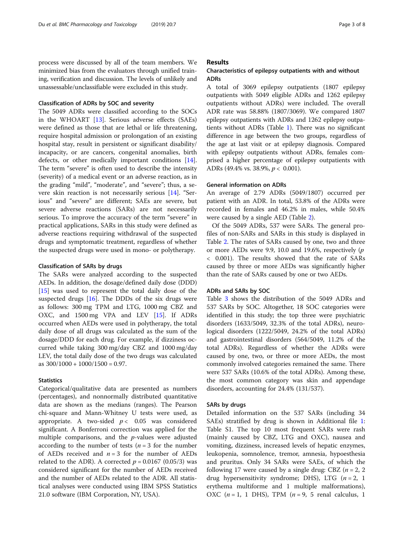process were discussed by all of the team members. We minimized bias from the evaluators through unified training, verification and discussion. The levels of unlikely and unassessable/unclassifiable were excluded in this study.

## Classification of ADRs by SOC and severity

The 5049 ADRs were classified according to the SOCs in the WHOART [[13\]](#page-6-0). Serious adverse effects (SAEs) were defined as those that are lethal or life threatening, require hospital admission or prolongation of an existing hospital stay, result in persistent or significant disability/ incapacity, or are cancers, congenital anomalies, birth defects, or other medically important conditions [\[14](#page-6-0)]. The term "severe" is often used to describe the intensity (severity) of a medical event or an adverse reaction, as in the grading "mild", "moderate", and "severe"; thus, a severe skin reaction is not necessarily serious [[14\]](#page-6-0). "Serious" and "severe" are different; SAEs are severe, but severe adverse reactions (SARs) are not necessarily serious. To improve the accuracy of the term "severe" in practical applications, SARs in this study were defined as adverse reactions requiring withdrawal of the suspected drugs and symptomatic treatment, regardless of whether the suspected drugs were used in mono- or polytherapy.

## Classification of SARs by drugs

The SARs were analyzed according to the suspected AEDs. In addition, the dosage/defined daily dose (DDD) [[15\]](#page-6-0) was used to represent the total daily dose of the suspected drugs  $[16]$  $[16]$ . The DDDs of the six drugs were as follows: 300 mg TPM and LTG, 1000 mg CBZ and OXC, and 1500 mg VPA and LEV [[15\]](#page-6-0). If ADRs occurred when AEDs were used in polytherapy, the total daily dose of all drugs was calculated as the sum of the dosage/DDD for each drug. For example, if dizziness occurred while taking 300 mg/day CBZ and 1000 mg/day LEV, the total daily dose of the two drugs was calculated as  $300/1000 + 1000/1500 = 0.97$ .

## **Statistics**

Categorical/qualitative data are presented as numbers (percentages), and nonnormally distributed quantitative data are shown as the medians (ranges). The Pearson chi-square and Mann-Whitney U tests were used, as appropriate. A two-sided  $p < 0.05$  was considered significant. A Bonferroni correction was applied for the multiple comparisons, and the  $p$ -values were adjusted according to the number of tests ( $n = 3$  for the number of AEDs received and  $n = 3$  for the number of AEDs related to the ADR). A corrected  $p = 0.0167$  (0.05/3) was considered significant for the number of AEDs received and the number of AEDs related to the ADR. All statistical analyses were conducted using IBM SPSS Statistics 21.0 software (IBM Corporation, NY, USA).

## Results

## Characteristics of epilepsy outpatients with and without ADRs

A total of 3069 epilepsy outpatients (1807 epilepsy outpatients with 5049 eligible ADRs and 1262 epilepsy outpatients without ADRs) were included. The overall ADR rate was 58.88% (1807/3069). We compared 1807 epilepsy outpatients with ADRs and 1262 epilepsy outpatients without ADRs (Table [1](#page-3-0)). There was no significant difference in age between the two groups, regardless of the age at last visit or at epilepsy diagnosis. Compared with epilepsy outpatients without ADRs, females comprised a higher percentage of epilepsy outpatients with ADRs (49.4% vs. 38.9%,  $p < 0.001$ ).

## General information on ADRs

An average of 2.79 ADRs (5049/1807) occurred per patient with an ADR. In total, 53.8% of the ADRs were recorded in females and 46.2% in males, while 50.4% were caused by a single AED (Table [2\)](#page-4-0).

Of the 5049 ADRs, 537 were SARs. The general profiles of non-SARs and SARs in this study is displayed in Table [2.](#page-4-0) The rates of SARs caused by one, two and three or more AEDs were 9.9, 10.0 and 19.6%, respectively (p < 0.001). The results showed that the rate of SARs caused by three or more AEDs was significantly higher than the rate of SARs caused by one or two AEDs.

## ADRs and SARs by SOC

Table [3](#page-5-0) shows the distribution of the 5049 ADRs and 537 SARs by SOC. Altogether, 18 SOC categories were identified in this study; the top three were psychiatric disorders (1633/5049, 32.3% of the total ADRs), neurological disorders (1222/5049, 24.2% of the total ADRs) and gastrointestinal disorders (564/5049, 11.2% of the total ADRs). Regardless of whether the ADRs were caused by one, two, or three or more AEDs, the most commonly involved categories remained the same. There were 537 SARs (10.6% of the total ADRs). Among these, the most common category was skin and appendage disorders, accounting for 24.4% (131/537).

## SARs by drugs

Detailed information on the 537 SARs (including 34 SAEs) stratified by drug is shown in Additional file [1](#page-6-0): Table S1. The top 10 most frequent SARs were rash (mainly caused by CBZ, LTG and OXC), nausea and vomiting, dizziness, increased levels of hepatic enzymes, leukopenia, somnolence, tremor, amnesia, hypoesthesia and pruritus. Only 34 SARs were SAEs, of which the following 17 were caused by a single drug: CBZ ( $n = 2$ , 2 drug hypersensitivity syndrome; DHS), LTG ( $n = 2, 1$ erythema multiforme and 1 multiple malformations), OXC ( $n = 1$ , 1 DHS), TPM ( $n = 9$ , 5 renal calculus, 1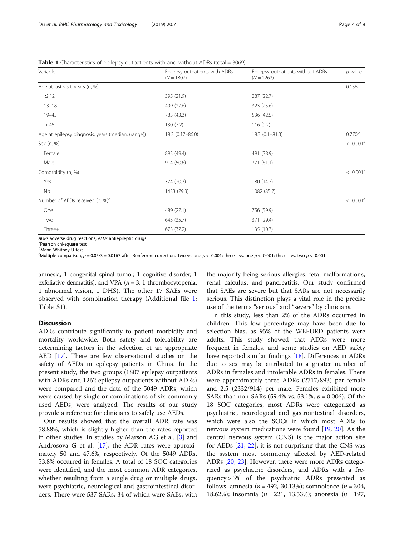<span id="page-3-0"></span>

| Variable                                           | Epilepsy outpatients with ADRs<br>$(N = 1807)$ | Epilepsy outpatients without ADRs<br>$(N = 1262)$ | $p$ -value           |
|----------------------------------------------------|------------------------------------------------|---------------------------------------------------|----------------------|
| Age at last visit, years (n, %)                    |                                                |                                                   | $0.156^a$            |
| $\leq$ 12                                          | 395 (21.9)                                     | 287 (22.7)                                        |                      |
| $13 - 18$                                          | 499 (27.6)                                     | 323 (25.6)                                        |                      |
| $19 - 45$                                          | 783 (43.3)                                     | 536 (42.5)                                        |                      |
| >45                                                | 130(7.2)                                       | 116(9.2)                                          |                      |
| Age at epilepsy diagnosis, years (median, (range)) | 18.2 (0.17-86.0)                               | $18.3(0.1 - 81.3)$                                | 0.770 <sup>b</sup>   |
| Sex (n, %)                                         |                                                |                                                   | < 0.001 <sup>a</sup> |
| Female                                             | 893 (49.4)                                     | 491 (38.9)                                        |                      |
| Male                                               | 914 (50.6)                                     | 771 (61.1)                                        |                      |
| Comorbidity (n, %)                                 |                                                |                                                   | < 0.001 <sup>a</sup> |
| Yes                                                | 374 (20.7)                                     | 180 (14.3)                                        |                      |
| No                                                 | 1433 (79.3)                                    | 1082 (85.7)                                       |                      |
| Number of AEDs received (n, %) <sup>c</sup>        |                                                |                                                   | < 0.001 <sup>a</sup> |
| One                                                | 489 (27.1)                                     | 756 (59.9)                                        |                      |
| Two                                                | 645 (35.7)                                     | 371 (29.4)                                        |                      |
| Three+                                             | 673 (37.2)                                     | 135 (10.7)                                        |                      |

ADRs adverse drug reactions, AEDs antiepileptic drugs

Pearson chi-square test

<sup>b</sup>Mann-Whitney U test

<sup>c</sup>Multiple comparison,  $p = 0.05/3 = 0.0167$  after Bonferroni correction. Two vs. one  $p < 0.001$ ; three+ vs. one  $p < 0.001$ ; three+ vs. two  $p < 0.001$ 

amnesia, 1 congenital spinal tumor, 1 cognitive disorder, 1 exfoliative dermatitis), and VPA ( $n = 3$ , 1 thrombocytopenia, 1 abnormal vision, 1 DHS). The other 17 SAEs were observed with combination therapy (Additional file [1](#page-6-0): Table S1).

## Discussion

ADRs contribute significantly to patient morbidity and mortality worldwide. Both safety and tolerability are determining factors in the selection of an appropriate AED [\[17](#page-6-0)]. There are few observational studies on the safety of AEDs in epilepsy patients in China. In the present study, the two groups (1807 epilepsy outpatients with ADRs and 1262 epilepsy outpatients without ADRs) were compared and the data of the 5049 ADRs, which were caused by single or combinations of six commonly used AEDs, were analyzed. The results of our study provide a reference for clinicians to safely use AEDs.

Our results showed that the overall ADR rate was 58.88%, which is slightly higher than the rates reported in other studies. In studies by Marson AG et al. [[3\]](#page-6-0) and Androsova G et al. [\[17](#page-6-0)], the ADR rates were approximately 50 and 47.6%, respectively. Of the 5049 ADRs, 53.8% occurred in females. A total of 18 SOC categories were identified, and the most common ADR categories, whether resulting from a single drug or multiple drugs, were psychiatric, neurological and gastrointestinal disorders. There were 537 SARs, 34 of which were SAEs, with the majority being serious allergies, fetal malformations, renal calculus, and pancreatitis. Our study confirmed that SAEs are severe but that SARs are not necessarily serious. This distinction plays a vital role in the precise use of the terms "serious" and "severe" by clinicians.

In this study, less than 2% of the ADRs occurred in children. This low percentage may have been due to selection bias, as 95% of the WEFURD patients were adults. This study showed that ADRs were more frequent in females, and some studies on AED safety have reported similar findings [\[18](#page-6-0)]. Differences in ADRs due to sex may be attributed to a greater number of ADRs in females and intolerable ADRs in females. There were approximately three ADRs (2717/893) per female and 2.5 (2332/914) per male. Females exhibited more SARs than non-SARs (59.4% vs. 53.1%,  $p = 0.006$ ). Of the 18 SOC categories, most ADRs were categorized as psychiatric, neurological and gastrointestinal disorders, which were also the SOCs in which most ADRs to nervous system medications were found [[19](#page-6-0), [20\]](#page-6-0). As the central nervous system (CNS) is the major action site for AEDs [[21,](#page-6-0) [22](#page-6-0)], it is not surprising that the CNS was the system most commonly affected by AED-related ADRs [\[20,](#page-6-0) [23](#page-6-0)]. However, there were more ADRs categorized as psychiatric disorders, and ADRs with a frequency > 5% of the psychiatric ADRs presented as follows: amnesia (*n* = 492, 30.13%); somnolence (*n* = 304, 18.62%); insomnia ( $n = 221, 13.53%$ ); anorexia ( $n = 197$ ,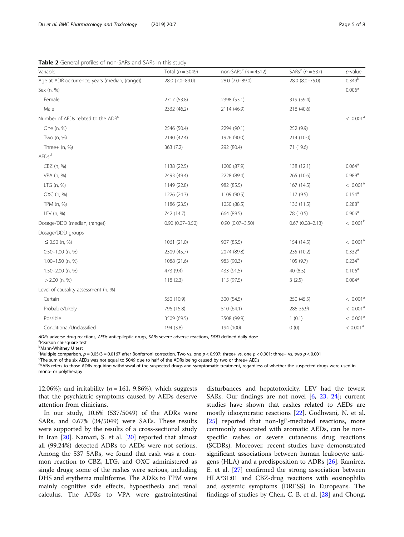<span id="page-4-0"></span>Table 2 General profiles of non-SARs and SARs in this study

| Variable                                       | Total ( $n = 5049$ ) | non-SARs <sup>e</sup> ( $n = 4512$ ) | SARs <sup>e</sup> ( $n = 537$ ) | $p$ -value           |
|------------------------------------------------|----------------------|--------------------------------------|---------------------------------|----------------------|
| Age at ADR occurrence, years (median, (range)) | 28.0 (7.0-89.0)      | 28.0 (7.0-89.0)                      | 28.0 (8.0-75.0)                 | $0.349^{b}$          |
| Sex (n, %)                                     |                      |                                      |                                 | 0.006 <sup>a</sup>   |
| Female                                         | 2717 (53.8)          | 2398 (53.1)                          | 319 (59.4)                      |                      |
| Male                                           | 2332 (46.2)          | 2114 (46.9)                          | 218 (40.6)                      |                      |
| Number of AEDs related to the ADR <sup>c</sup> |                      |                                      |                                 | < 0.001 <sup>a</sup> |
| One (n, %)                                     | 2546 (50.4)          | 2294 (90.1)                          | 252 (9.9)                       |                      |
| Two (n, %)                                     | 2140 (42.4)          | 1926 (90.0)                          | 214 (10.0)                      |                      |
| Three $+$ (n, %)                               | 363(7.2)             | 292 (80.4)                           | 71 (19.6)                       |                      |
| AEDs <sup>d</sup>                              |                      |                                      |                                 |                      |
| CBZ (n, %)                                     | 1138 (22.5)          | 1000 (87.9)                          | 138 (12.1)                      | $0.064^a$            |
| VPA (n, %)                                     | 2493 (49.4)          | 2228 (89.4)                          | 265 (10.6)                      | $0.989$ <sup>a</sup> |
| LTG (n, %)                                     | 1149 (22.8)          | 982 (85.5)                           | 167 (14.5)                      | < 0.001 <sup>a</sup> |
| OXC (n, %)                                     | 1226 (24.3)          | 1109 (90.5)                          | 117(9.5)                        | $0.154^a$            |
| TPM (n, %)                                     | 1186 (23.5)          | 1050 (88.5)                          | 136 (11.5)                      | $0.288$ <sup>a</sup> |
| LEV (n, %)                                     | 742 (14.7)           | 664 (89.5)                           | 78 (10.5)                       | 0.906 <sup>a</sup>   |
| Dosage/DDD (median, (range))                   | $0.90(0.07 - 3.50)$  | $0.90(0.07 - 3.50)$                  | $0.67(0.08 - 2.13)$             | $< 0.001^{\rm b}$    |
| Dosage/DDD groups                              |                      |                                      |                                 |                      |
| $\leq$ 0.50 (n, %)                             | 1061 (21.0)          | 907 (85.5)                           | 154 (14.5)                      | < 0.001 <sup>a</sup> |
| $0.50 - 1.00$ (n, %)                           | 2309 (45.7)          | 2074 (89.8)                          | 235 (10.2)                      | $0.332$ <sup>a</sup> |
| $1.00 - 1.50$ (n, %)                           | 1088 (21.6)          | 983 (90.3)                           | 105(9.7)                        | $0.234$ <sup>a</sup> |
| $1.50 - 2.00$ (n, %)                           | 473 (9.4)            | 433 (91.5)                           | 40(8.5)                         | 0.106 <sup>a</sup>   |
| $> 2.00$ (n, %)                                | 118(2.3)             | 115(97.5)                            | 3(2.5)                          | 0.004 <sup>a</sup>   |
| Level of causality assessment (n, %)           |                      |                                      |                                 |                      |
| Certain                                        | 550 (10.9)           | 300 (54.5)                           | 250 (45.5)                      | < 0.001 <sup>a</sup> |
| Probable/Likely                                | 796 (15.8)           | 510 (64.1)                           | 286 35.9)                       | < 0.001 <sup>a</sup> |
| Possible                                       | 3509 (69.5)          | 3508 (99.9)                          | 1(0.1)                          | < 0.001 <sup>a</sup> |
| Conditional/Unclassified                       | 194 (3.8)            | 194 (100)                            | 0(0)                            | < 0.001 <sup>a</sup> |

ADRs adverse drug reactions, AEDs antiepileptic drugs, SARs severe adverse reactions, DDD defined daily dose

<sup>a</sup>Pearson chi-square test

b<br>Mann-Whitney U test

Multiple comparison,  $p = 0.05/3 = 0.0167$  after Bonferroni correction. Two vs. one  $p < 0.907$ ; three+ vs. one  $p < 0.001$ ; three+ vs. two  $p < 0.001$ 

<sup>d</sup>The sum of the six AEDs was not equal to 5049 due to half of the ADRs being caused by two or three+ AEDs

e<br>SARs refers to those ADRs requiring withdrawal of the suspected drugs and symptomatic treatment, regardless of whether the suspected drugs were used in mono- or polytherapy

12.06%); and irritability ( $n = 161, 9.86\%$ ), which suggests that the psychiatric symptoms caused by AEDs deserve attention from clinicians.

In our study, 10.6% (537/5049) of the ADRs were SARs, and 0.67% (34/5049) were SAEs. These results were supported by the results of a cross-sectional study in Iran [\[20](#page-6-0)]. Namazi, S. et al. [[20](#page-6-0)] reported that almost all (99.24%) detected ADRs to AEDs were not serious. Among the 537 SARs, we found that rash was a common reaction to CBZ, LTG, and OXC administered as single drugs; some of the rashes were serious, including DHS and erythema multiforme. The ADRs to TPM were mainly cognitive side effects, hypoesthesia and renal calculus. The ADRs to VPA were gastrointestinal

disturbances and hepatotoxicity. LEV had the fewest SARs. Our findings are not novel [\[6](#page-6-0), [23](#page-6-0), [24](#page-6-0)]; current studies have shown that rashes related to AEDs are mostly idiosyncratic reactions [\[22](#page-6-0)]. Godhwani, N. et al. [[25\]](#page-7-0) reported that non-IgE-mediated reactions, more commonly associated with aromatic AEDs, can be nonspecific rashes or severe cutaneous drug reactions (SCDRs). Moreover, recent studies have demonstrated significant associations between human leukocyte antigens (HLA) and a predisposition to ADRs [\[26](#page-7-0)]. Ramirez, E. et al. [\[27\]](#page-7-0) confirmed the strong association between HLA\*31:01 and CBZ-drug reactions with eosinophilia and systemic symptoms (DRESS) in Europeans. The findings of studies by Chen, C. B. et al. [\[28](#page-7-0)] and Chong,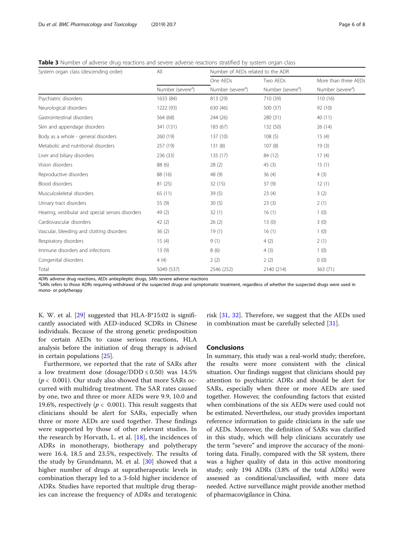<span id="page-5-0"></span>Table 3 Number of adverse drug reactions and severe adverse reactions stratified by system organ class

| System organ class (descending order)            | All                           | Number of AEDs related to the ADR |                               |                               |
|--------------------------------------------------|-------------------------------|-----------------------------------|-------------------------------|-------------------------------|
|                                                  |                               | One AEDs                          | Two AEDs                      | More than three AEDs          |
|                                                  | Number (severe <sup>a</sup> ) | Number (severe <sup>a</sup> )     | Number (severe <sup>a</sup> ) | Number (severe <sup>a</sup> ) |
| Psychiatric disorders                            | 1633 (84)                     | 813 (29)                          | 710 (39)                      | 110(16)                       |
| Neurological disorders                           | 1222 (93)                     | 630 (46)                          | 500 (37)                      | 92 (10)                       |
| Gastrointestinal disorders                       | 564 (68)                      | 244 (26)                          | 280 (31)                      | 40 (11)                       |
| Skin and appendage disorders                     | 341 (131)                     | 183 (67)                          | 132 (50)                      | 26 (14)                       |
| Body as a whole - general disorders              | 260 (19)                      | 137(10)                           | 108(5)                        | 15(4)                         |
| Metabolic and nutritional disorders              | 257 (19)                      | 131(8)                            | 107(8)                        | 19(3)                         |
| Liver and biliary disorders                      | 236 (33)                      | 135 (17)                          | 84 (12)                       | 17(4)                         |
| Vision disorders                                 | 88 (6)                        | 28(2)                             | 45(3)                         | 15(1)                         |
| Reproductive disorders                           | 88 (16)                       | 48 (9)                            | 36(4)                         | 4(3)                          |
| <b>Blood disorders</b>                           | 81 (25)                       | 32(15)                            | 37(9)                         | 12(1)                         |
| Musculoskeletal disorders                        | 65 (11)                       | 39(5)                             | 23(4)                         | 3(2)                          |
| Urinary tract disorders                          | 55 (9)                        | 30(5)                             | 23(3)                         | 2(1)                          |
| Hearing, vestibular and special senses disorders | 49(2)                         | 32(1)                             | 16(1)                         | 1(0)                          |
| Cardiovascular disorders                         | 42(2)                         | 26(2)                             | 13(0)                         | 3(0)                          |
| Vascular, bleeding and clotting disorders        | 36(2)                         | 19(1)                             | 16(1)                         | 1(0)                          |
| Respiratory disorders                            | 15(4)                         | 9(1)                              | 4(2)                          | 2(1)                          |
| Immune disorders and infections                  | 13(9)                         | 8(6)                              | 4(3)                          | 1(0)                          |
| Congenital disorders                             | 4(4)                          | 2(2)                              | 2(2)                          | 0(0)                          |
| Total                                            | 5049 (537)                    | 2546 (252)                        | 2140 (214)                    | 363 (71)                      |

ADRs adverse drug reactions, AEDs antiepileptic drugs, SARs severe adverse reactions

<sup>a</sup>SARs refers to those ADRs requiring withdrawal of the suspected drugs and symptomatic treatment, regardless of whether the suspected drugs were used in mono- or polytherapy

K. W. et al. [[29\]](#page-7-0) suggested that HLA-B\*15:02 is significantly associated with AED-induced SCDRs in Chinese individuals. Because of the strong genetic predisposition for certain AEDs to cause serious reactions, HLA analysis before the initiation of drug therapy is advised in certain populations [[25](#page-7-0)].

Furthermore, we reported that the rate of SARs after a low treatment dose (dosage/DDD  $\leq$  0.50) was 14.5% ( $p$  < 0.001). Our study also showed that more SARs occurred with multidrug treatment. The SAR rates caused by one, two and three or more AEDs were 9.9, 10.0 and 19.6%, respectively ( $p < 0.001$ ). This result suggests that clinicians should be alert for SARs, especially when three or more AEDs are used together. These findings were supported by those of other relevant studies. In the research by Horvath, L. et al. [\[18](#page-6-0)], the incidences of ADRs in monotherapy, biotherapy and polytherapy were 16.4, 18.5 and 23.5%, respectively. The results of the study by Grundmann, M. et al.  $[30]$  $[30]$  showed that a higher number of drugs at supratherapeutic levels in combination therapy led to a 3-fold higher incidence of ADRs. Studies have reported that multiple drug therapies can increase the frequency of ADRs and teratogenic

risk [[31,](#page-7-0) [32](#page-7-0)]. Therefore, we suggest that the AEDs used in combination must be carefully selected [\[31](#page-7-0)].

## Conclusions

In summary, this study was a real-world study; therefore, the results were more consistent with the clinical situation. Our findings suggest that clinicians should pay attention to psychiatric ADRs and should be alert for SARs, especially when three or more AEDs are used together. However, the confounding factors that existed when combinations of the six AEDs were used could not be estimated. Nevertheless, our study provides important reference information to guide clinicians in the safe use of AEDs. Moreover, the definition of SARs was clarified in this study, which will help clinicians accurately use the term "severe" and improve the accuracy of the monitoring data. Finally, compared with the SR system, there was a higher quality of data in this active monitoring study; only 194 ADRs (3.8% of the total ADRs) were assessed as conditional/unclassified, with more data needed. Active surveillance might provide another method of pharmacovigilance in China.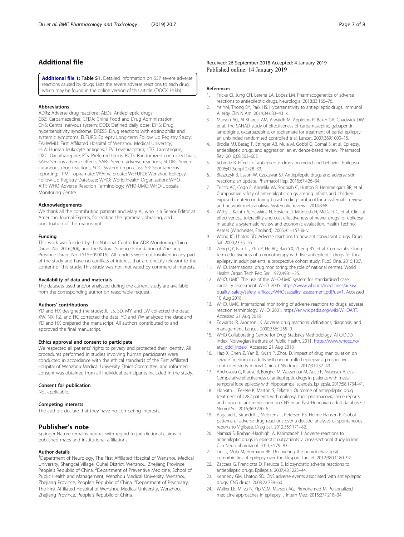## <span id="page-6-0"></span>Additional file

[Additional file 1:](https://doi.org/10.1186/s40360-019-0285-y) Table S1. Detailed information on 537 severe adverse reactions caused by drugs. Lists the severe adverse reactions to each drug, which may be found in the online version of this article. (DOCX 34 kb)

#### Abbreviations

ADRs: Adverse drug reactions; AEDs: Antiepileptic drugs; CBZ: Carbamazepine; CFDA: China Food and Drug Administration; CNS: Central nervous system; DDD: Defined daily dose; DHS: Drug hypersensitivity syndrome; DRESS: Drug reactions with eosinophilia and systemic symptoms; ELFURS: Epilepsy Long-term Follow Up Registry Study; FAHWMU: First Affiliated Hospital of Wenzhou Medical University; HLA: Human leukocyte antigens; LEV: Levetiracetam; LTG: Lamotrigine; OXC: Oxcarbazepine; PTs: Preferred terms; RCTs: Randomized controlled trials; SAEs: Serious adverse effects; SARs: Severe adverse reactions; SCDRs: Severe cutaneous drug reactions; SOC: System organ class; SR: Spontaneous reporting; TPM: Topiramate; VPA: Valproate; WEFURD: Wenzhou Epilepsy Follow-Up Registry Database; WHO: World Health Organization; WHO-ART: WHO Adverse Reaction Terminology; WHO-UMC: WHO-Uppsala Monitoring Centre

#### Acknowledgements

We thank all the contributing patients and Mary A., who is a Senior Editor at American Journal Experts, for editing the grammar, phrasing, and punctuation of this manuscript.

## Funding

This work was funded by the National Centre for ADR Monitoring, China [Grant No. 2016(30)], and the Natural Science Foundation of Zhejiang Province [Grant No. LY15H090015]. All funders were not involved in any part of the study and have no conflicts of interest that are directly relevant to the content of this study. This study was not motivated by commercial interests.

#### Availability of data and materials

The datasets used and/or analyzed during the current study are available from the corresponding author on reasonable request.

### Authors' contributions

YD and HX designed the study; JL, JS, SD, MY, and LW collected the data; XW, NX, RZ, and HC corrected the data; YD and YW analyzed the data; and YD and HX prepared the manuscript. All authors contributed to and approved the final manuscript.

#### Ethics approval and consent to participate

We respected all patients' rights to privacy and protected their identity. All procedures performed in studies involving human participants were conducted in accordance with the ethical standards of the First Affiliated Hospital of Wenzhou Medical University Ethics Committee, and informed consent was obtained from all individual participants included in the study.

#### Consent for publication

Not applicable.

#### Competing interests

The authors declare that they have no competing interests.

## Publisher's note

Springer Nature remains neutral with regard to jurisdictional claims in published maps and institutional affiliations.

#### Author details

<sup>1</sup>Department of Neurology, The First Affiliated Hospital of Wenzhou Medical University, Shangcai Village, Ouhai District, Wenzhou, Zhejiang Province, People's Republic of China. <sup>2</sup>Department of Preventive Medicine, School of Public Health and Management, Wenzhou Medical University, Wenzhou, Zhejiang Province, People's Republic of China. <sup>3</sup>Department of Psychiatry, The First Affiliated Hospital of Wenzhou Medical University, Wenzhou, Zhejiang Province, People's Republic of China.

## References

- 1. Fricke GI, Jung CH, Lerena LA, Lopez LM. Pharmacogenetics of adverse reactions to antiepileptic drugs. Neurologia. 2018;33:165–76.
- 2. Ye YM, Thong BY, Park HS. Hypersensitivity to antiepileptic drugs. Immunol Allergy Clin N Am. 2014;34:633–43 ix.
- 3. Marson AG, Al-Kharusi AM, Alwaidh M, Appleton R, Baker GA, Chadwick DW, et al. The SANAD study of effectiveness of carbamazepine, gabapentin, lamotrigine, oxcarbazepine, or topiramate for treatment of partial epilepsy: an unblinded randomised controlled trial. Lancet. 2007;369:1000–15.
- 4. Brodie MJ, Besag F, Ettinger AB, Mula M, Gobbi G, Comai S, et al. Epilepsy, antiepileptic drugs, and aggression: an evidence-based review. Pharmacol Rev. 2016;68:563–602.
- 5. Schmitz B. Effects of antiepileptic drugs on mood and behavior. Epilepsia. 2006;47(Suppl 2):28–33.
- 6. Blaszczyk B, Lason W, Czuczwar SJ. Antiepileptic drugs and adverse skin reactions: an update. Pharmacol Rep. 2015;67:426–34.
- 7. Tricco AC, Cogo E, Angeliki VA, Soobiah C, Hutton B, Hemmelgarn BR, et al. Comparative safety of anti-epileptic drugs among infants and children exposed in utero or during breastfeeding: protocol for a systematic review and network meta-analysis. Systematic reviews. 2014;3:68.
- 8. Wilby J, Kainth A, Hawkins N, Epstein D, McIntosh H, McDaid C, et al. Clinical effectiveness, tolerability and cost-effectiveness of newer drugs for epilepsy in adults: a systematic review and economic evaluation. Health Technol Assess (Winchester, England). 2005;9:1–157 iii-iv.
- 9. Wong IC, Lhatoo SD. Adverse reactions to new anticonvulsant drugs. Drug Saf. 2000;23:35–56.
- 10. Zeng QY, Fan TT, Zhu P, He RQ, Bao YX, Zheng RY, et al. Comparative longterm effectiveness of a monotherapy with five antiepileptic drugs for focal epilepsy in adult patients: a prospective cohort study. PLoS One. 2015;10:7.
- 11. WHO. International drug monitoring: the role of national centres. World Health Organ Tech Rep Ser. 1972;498:1–25.
- 12. WHO, UMC. The use of the WHO-UMC system for standardised case causality assessment. WHO. 2005. [https://www.who.int/medicines/areas/](https://www.who.int/medicines/areas/quality_safety/safety_efficacy/WHOcausality_assessment.pdf?ua=1) [quality\\_safety/safety\\_efficacy/WHOcausality\\_assessment.pdf?ua=1](https://www.who.int/medicines/areas/quality_safety/safety_efficacy/WHOcausality_assessment.pdf?ua=1). Accessed 10 Aug 2018.
- 13. WHO, UMC. International monitoring of adverse reactions to drugs: adverse reaction terminology. WHO. 2001. [https://en.wikipedia.org/wiki/WHOART.](https://en.wikipedia.org/wiki/WHOART) Accessed 21 Aug 2018.
- 14. Edwards IR, Aronson JK. Adverse drug reactions: definitions, diagnosis, and management. Lancet. 2000;356:1255–9.
- 15. WHO Collaborating Centre for Drug Statistics Methodology. ATC/DDD Index. Norwegian Institute of Public Health. 2011. [https://www.whocc.no/](https://www.whocc.no/atc_ddd_index/) [atc\\_ddd\\_index/.](https://www.whocc.no/atc_ddd_index/) Accessed 21 Aug 2018.
- 16. Hao X, Chen Z, Yan B, Kwan P, Zhou D. Impact of drug manipulation on seizure freedom in adults with uncontrolled epilepsy: a prospective controlled study in rural China. CNS drugs. 2017;31:237–43.
- 17. Androsova G, Krause R, Borghei M, Wassenaar M, Auce P, Avbersek A, et al. Comparative effectiveness of antiepileptic drugs in patients with mesial temporal lobe epilepsy with hippocampal sclerosis. Epilepsia. 2017;58:1734–41.
- 18. Horvath L, Fekete K, Marton S, Fekete I. Outcome of antiepileptic drug treatment of 1282 patients with epilepsy, their pharmacovigilance reports and concomitant medication on CNS in an East-Hungarian adult database. J Neurol Sci. 2016;369:220–6.
- 19. Aagaard L, Strandell J, Melskens L, Petersen PS, Holme Hansen E. Global patterns of adverse drug reactions over a decade: analyses of spontaneous reports to VigiBase. Drug Saf. 2012;35:1171–82.
- 20. Namazi S, Borhani-Haghighi A, Karimzadeh I. Adverse reactions to antiepileptic drugs in epileptic outpatients: a cross-sectional study in Iran. Clin Neuropharmacol. 2011;34:79–83.
- 21. Lin JJ, Mula M, Hermann BP. Uncovering the neurobehavioural comorbidities of epilepsy over the lifespan. Lancet. 2012;380:1180–92.
- 22. Zaccara G, Franciotta D, Perucca E. Idiosyncratic adverse reactions to antiepileptic drugs. Epilepsia. 2007;48:1223–44.
- 23. Kennedy GM, Lhatoo SD. CNS adverse events associated with antiepileptic drugs. CNS drugs. 2008;22:739–60.
- 24. Walker LE, Mirza N, Yip VLM, Marson AG, Pirmohamed M. Personalized medicine approaches in epilepsy. J Intern Med. 2015;277:218–34.